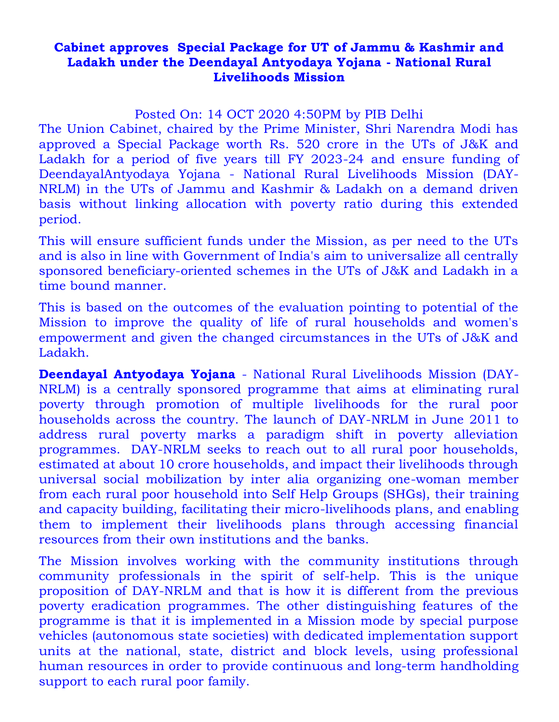## **Cabinet approves Special Package for UT of Jammu & Kashmir and Ladakh under the Deendayal Antyodaya Yojana - National Rural Livelihoods Mission**

Posted On: 14 OCT 2020 4:50PM by PIB Delhi

The Union Cabinet, chaired by the Prime Minister, Shri Narendra Modi has approved a Special Package worth Rs. 520 crore in the UTs of J&K and Ladakh for a period of five years till FY 2023-24 and ensure funding of DeendayalAntyodaya Yojana - National Rural Livelihoods Mission (DAY-NRLM) in the UTs of Jammu and Kashmir & Ladakh on a demand driven basis without linking allocation with poverty ratio during this extended period.

This will ensure sufficient funds under the Mission, as per need to the UTs and is also in line with Government of India's aim to universalize all centrally sponsored beneficiary-oriented schemes in the UTs of J&K and Ladakh in a time bound manner.

This is based on the outcomes of the evaluation pointing to potential of the Mission to improve the quality of life of rural households and women's empowerment and given the changed circumstances in the UTs of J&K and Ladakh.

**Deendayal Antyodaya Yojana** - National Rural Livelihoods Mission (DAY-NRLM) is a centrally sponsored programme that aims at eliminating rural poverty through promotion of multiple livelihoods for the rural poor households across the country. The launch of DAY-NRLM in June 2011 to address rural poverty marks a paradigm shift in poverty alleviation programmes. DAY-NRLM seeks to reach out to all rural poor households, estimated at about 10 crore households, and impact their livelihoods through universal social mobilization by inter alia organizing one-woman member from each rural poor household into Self Help Groups (SHGs), their training and capacity building, facilitating their micro-livelihoods plans, and enabling them to implement their livelihoods plans through accessing financial resources from their own institutions and the banks.

The Mission involves working with the community institutions through community professionals in the spirit of self-help. This is the unique proposition of DAY-NRLM and that is how it is different from the previous poverty eradication programmes. The other distinguishing features of the programme is that it is implemented in a Mission mode by special purpose vehicles (autonomous state societies) with dedicated implementation support units at the national, state, district and block levels, using professional human resources in order to provide continuous and long-term handholding support to each rural poor family.